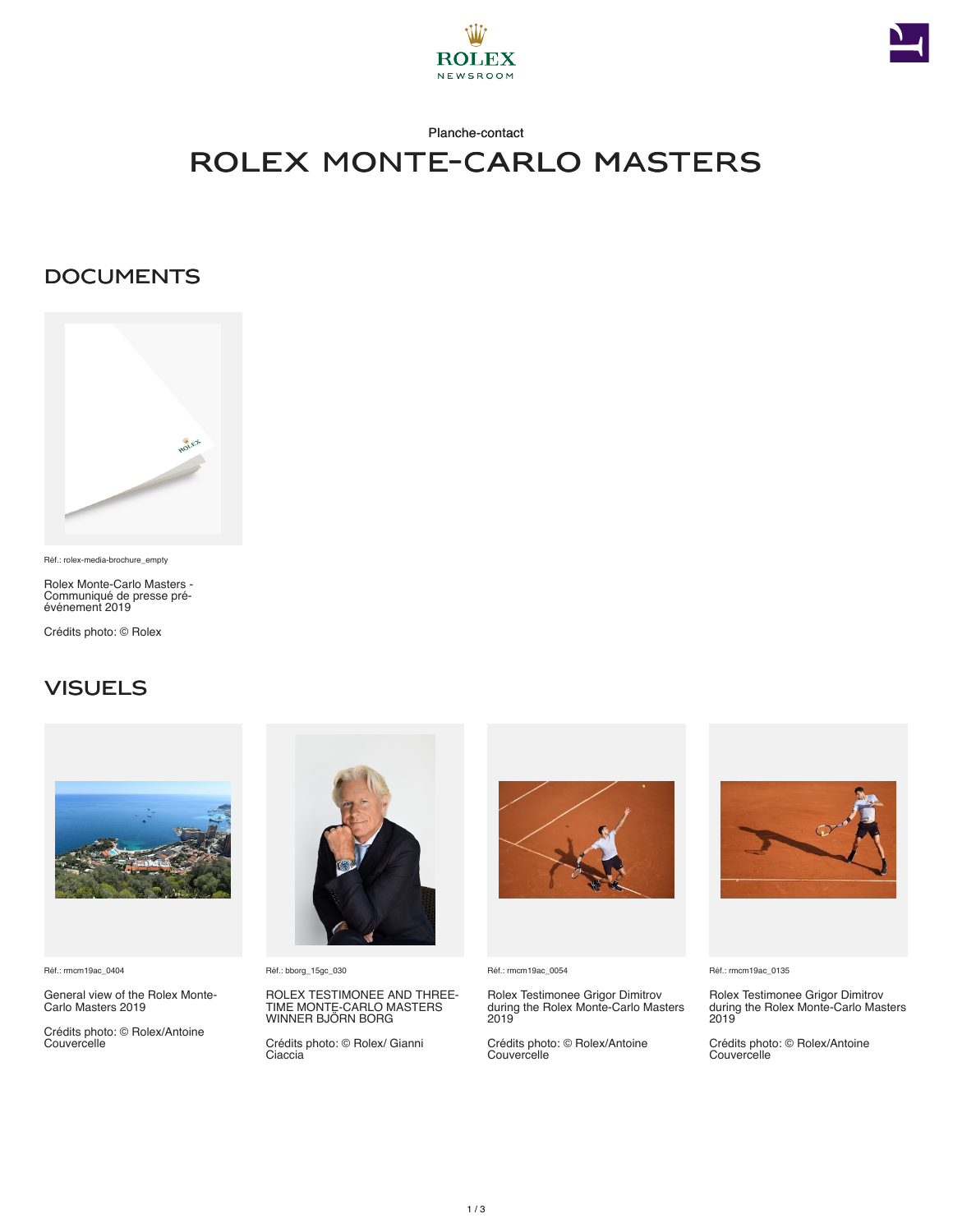



# rolex monte-carlo masters

### **DOCUMENTS**



Réf.: rolex-media-brochure\_empty

Rolex Monte‑Carlo Masters - Communiqué de presse préévénement 2019

Crédits photo: © Rolex

## **VISUELS**



Réf.: rmcm19ac\_0404

General view of the Rolex Monte-Carlo Masters 2019

Crédits photo: © Rolex/Antoine Couvercelle



Réf.: bborg\_15gc\_030

ROLEX TESTIMONEE AND THREE-TIME MONTE-CARLO MASTERS WINNER BJÖRN BORG

Crédits photo: © Rolex/ Gianni Ciaccia



Réf.: rmcm19ac\_0054

Rolex Testimonee Grigor Dimitrov during the Rolex Monte-Carlo Masters 2019

Crédits photo: © Rolex/Antoine **Couvercelle** 



Réf.: rmcm19ac\_0135

Rolex Testimonee Grigor Dimitrov during the Rolex Monte-Carlo Masters 2019

Crédits photo: © Rolex/Antoine **Couvercelle**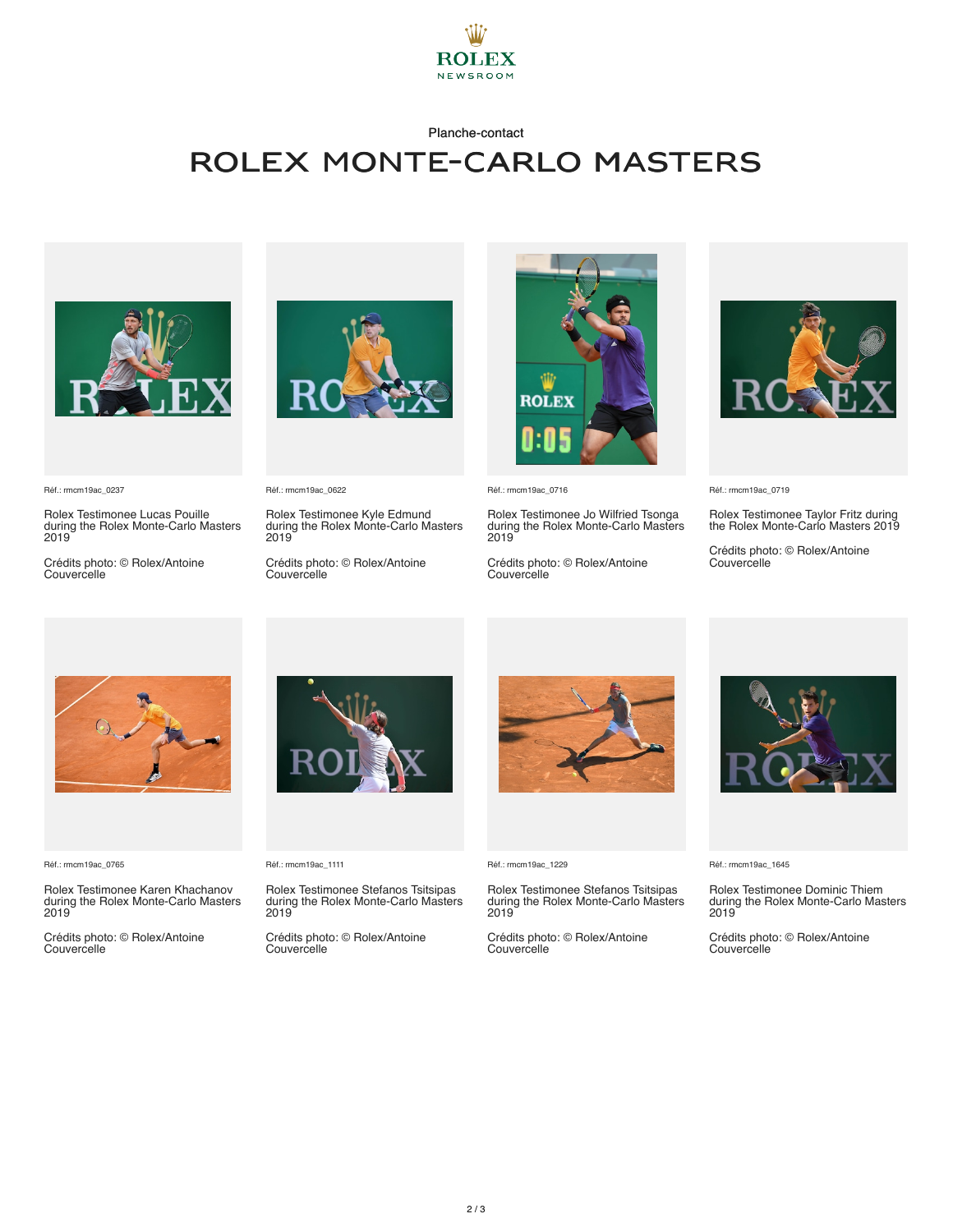

#### Planche-contact

## rolex monte-carlo masters



Réf.: rmcm19ac\_0237

Rolex Testimonee Lucas Pouille during the Rolex Monte-Carlo Masters 2019

Crédits photo: © Rolex/Antoine **Couvercelle** 



Réf.: rmcm19ac\_0622

Rolex Testimonee Kyle Edmund during the Rolex Monte-Carlo Masters 2019

Crédits photo: © Rolex/Antoine **Couvercelle** 



Réf.: rmcm19ac\_0716

Rolex Testimonee Jo Wilfried Tsonga during the Rolex Monte-Carlo Masters 2019

Crédits photo: © Rolex/Antoine **Couvercelle** 



Réf.: rmcm19ac\_0719

Rolex Testimonee Taylor Fritz during the Rolex Monte-Carlo Masters 2019

Crédits photo: © Rolex/Antoine Couvercelle



Réf.: rmcm19ac\_0765

Rolex Testimonee Karen Khachanov during the Rolex Monte-Carlo Masters 2019

Crédits photo: © Rolex/Antoine Couvercelle



Réf.: rmcm19ac\_1111

Rolex Testimonee Stefanos Tsitsipas during the Rolex Monte-Carlo Masters 2019

Crédits photo: © Rolex/Antoine Couvercelle



Réf.: rmcm19ac\_1229

Rolex Testimonee Stefanos Tsitsipas during the Rolex Monte-Carlo Masters 2019

Crédits photo: © Rolex/Antoine Couvercelle



Réf.: rmcm19ac\_1645

Rolex Testimonee Dominic Thiem during the Rolex Monte-Carlo Masters 2019

Crédits photo: © Rolex/Antoine Couvercelle